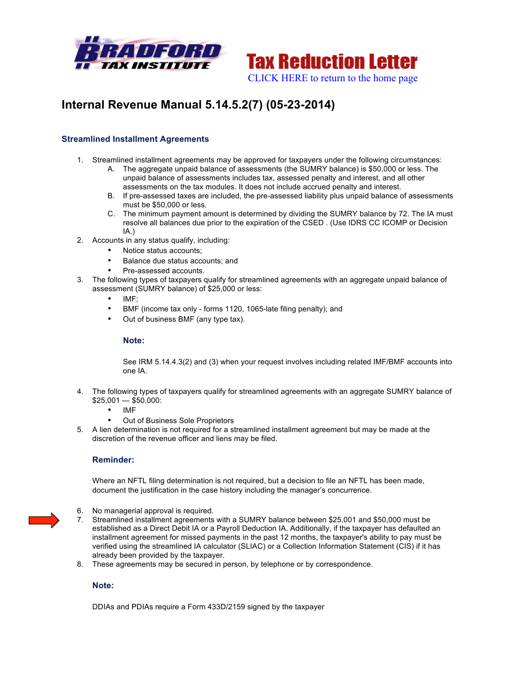



# **Internal Revenue Manual 5.14.5.2(7) (05-23-2014)**

## **Streamlined Installment Agreements**

- 1. Streamlined installment agreements may be approved for taxpayers under the following circumstances:
	- A. The aggregate unpaid balance of assessments (the SUMRY balance) is \$50,000 or less. The unpaid balance of assessments includes tax, assessed penalty and interest, and all other assessments on the tax modules. It does not include accrued penalty and interest.
	- B. If pre-assessed taxes are included, the pre-assessed liability plus unpaid balance of assessments must be \$50,000 or less.
	- C. The minimum payment amount is determined by dividing the SUMRY balance by 72. The IA must resolve all balances due prior to the expiration of the CSED . (Use IDRS CC ICOMP or Decision IA.)
- 2. Accounts in any status qualify, including:
	- Notice status accounts;
	- Balance due status accounts; and
	- Pre-assessed accounts.
- 3. The following types of taxpayers qualify for streamlined agreements with an aggregate unpaid balance of assessment (SUMRY balance) of \$25,000 or less:
	- IMF;
	- BMF (income tax only forms 1120, 1065-late filing penalty); and
	- Out of business BMF (any type tax).

### **Note:**

See IRM 5.14.4.3(2) and (3) when your request involves including related IMF/BMF accounts into one IA.

- 4. The following types of taxpayers qualify for streamlined agreements with an aggregate SUMRY balance of  $$25.001 - $50.000$ :
	- IMF
	- Out of Business Sole Proprietors
- 5. A lien determination is not required for a streamlined installment agreement but may be made at the discretion of the revenue officer and liens may be filed.

### **Reminder:**

Where an NFTL filing determination is not required, but a decision to file an NFTL has been made, document the justification in the case history including the manager's concurrence.

- 6. No managerial approval is required.
- 7. Streamlined installment agreements with a SUMRY balance between \$25,001 and \$50,000 must be established as a Direct Debit IA or a Payroll Deduction IA. Additionally, if the taxpayer has defaulted an installment agreement for missed payments in the past 12 months, the taxpayer's ability to pay must be verified using the streamlined IA calculator (SLIAC) or a Collection Information Statement (CIS) if it has already been provided by the taxpayer.
- 8. These agreements may be secured in person, by telephone or by correspondence.

### **Note:**

DDIAs and PDIAs require a Form 433D/2159 signed by the taxpayer